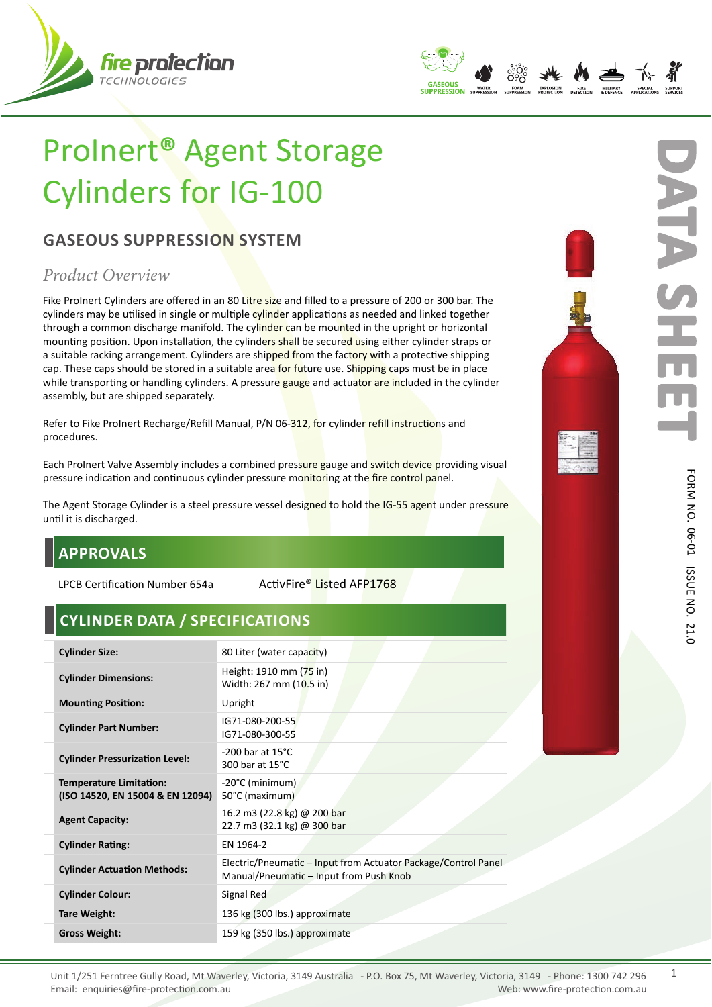



# ProInert**®** Agent Storage Cylinders for IG-100

## **GASEOUS SUPPRESSION SYSTEM**

# *Product Overview*

Fike ProInert Cylinders are offered in an 80 Litre size and filled to a pressure of 200 or 300 bar. The cylinders may be utilised in single or multiple cylinder applications as needed and linked together through a common discharge manifold. The cylinder can be mounted in the upright or horizontal mounting position. Upon installation, the cylinders shall be secured using either cylinder straps or a suitable racking arrangement. Cylinders are shipped from the factory with a protective shipping cap. These caps should be stored in a suitable area for future use. Shipping caps must be in place while transporting or handling cylinders. A pressure gauge and actuator are included in the cylinder assembly, but are shipped separately.

Refer to Fike ProInert Recharge/Refill Manual, P/N 06-312, for cylinder refill instructions and procedures.

Each ProInert Valve Assembly includes a combined pressure gauge and switch device providing visual pressure indication and continuous cylinder pressure monitoring at the fire control panel.

The Agent Storage Cylinder is a steel pressure vessel designed to hold the IG-55 agent under pressure until it is discharged.

# **APPROVALS**

LPCB Certification Number 654a ActivFire® Listed AFP1768

# **CYLINDER DATA / SPECIFICATIONS**

| <b>Cylinder Size:</b>                                              | 80 Liter (water capacity)                                                                                 |
|--------------------------------------------------------------------|-----------------------------------------------------------------------------------------------------------|
| <b>Cylinder Dimensions:</b>                                        | Height: 1910 mm (75 in)<br>Width: 267 mm (10.5 in)                                                        |
| <b>Mounting Position:</b>                                          | Upright                                                                                                   |
| <b>Cylinder Part Number:</b>                                       | IG71-080-200-55<br>IG71-080-300-55                                                                        |
| <b>Cylinder Pressurization Level:</b>                              | $-200$ bar at $15^{\circ}$ C<br>300 bar at 15°C                                                           |
| <b>Temperature Limitation:</b><br>(ISO 14520, EN 15004 & EN 12094) | -20°C (minimum)<br>50°C (maximum)                                                                         |
| <b>Agent Capacity:</b>                                             | 16.2 m3 (22.8 kg) @ 200 bar<br>22.7 m3 (32.1 kg) @ 300 bar                                                |
| <b>Cylinder Rating:</b>                                            | EN 1964-2                                                                                                 |
| <b>Cylinder Actuation Methods:</b>                                 | Electric/Pneumatic – Input from Actuator Package/Control Panel<br>Manual/Pneumatic - Input from Push Knob |
| <b>Cylinder Colour:</b>                                            | Signal Red                                                                                                |
| <b>Tare Weight:</b>                                                | 136 kg (300 lbs.) approximate                                                                             |
| <b>Gross Weight:</b>                                               | 159 kg (350 lbs.) approximate                                                                             |
|                                                                    |                                                                                                           |



21.0

**D**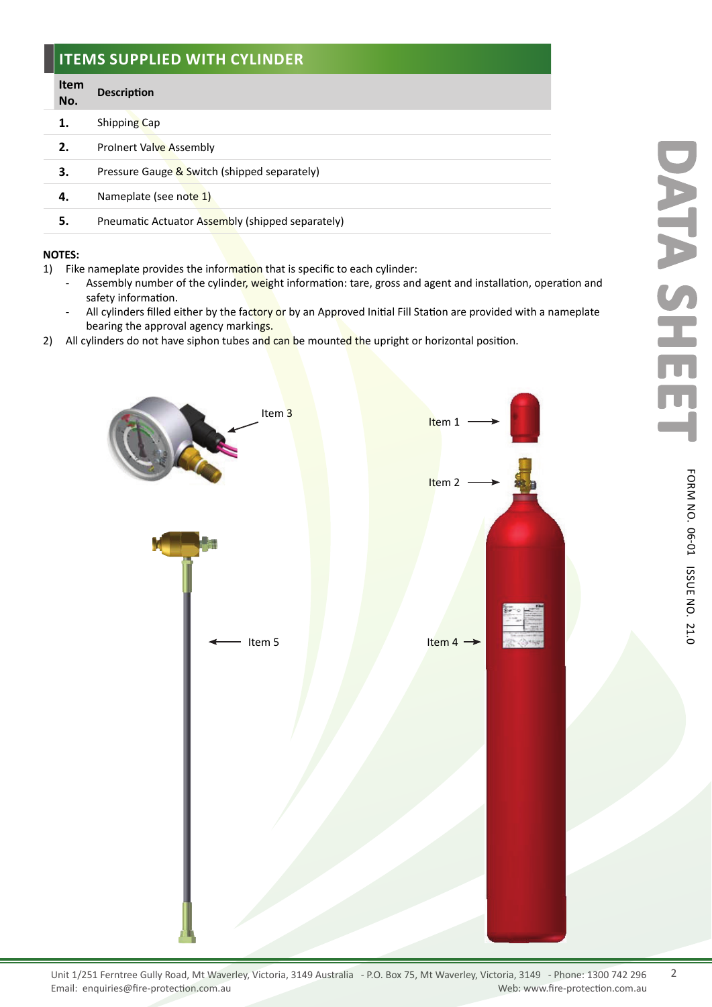#### **ITEMS SUPPLIED WITH CYLINDER**

#### **Item No. Description**

- **1.** Shipping Cap
- **2.** ProInert Valve Assembly
- **3.** Pressure Gauge & Switch (shipped separately)
- **4.** Nameplate (see note 1)
- **5.** Pneumatic Actuator Assembly (shipped separately)

#### **NOTES:**

- 1) Fike nameplate provides the information that is specific to each cylinder:
	- Assembly number of the cylinder, weight information: tare, gross and agent and installation, operation and safety information.
	- All cylinders filled either by the factory or by an Approved Initial Fill Station are provided with a nameplate bearing the approval agency markings.
- 2) All cylinders do not have siphon tubes and can be mounted the upright or horizontal position.



ISSUE

N O.

21.0